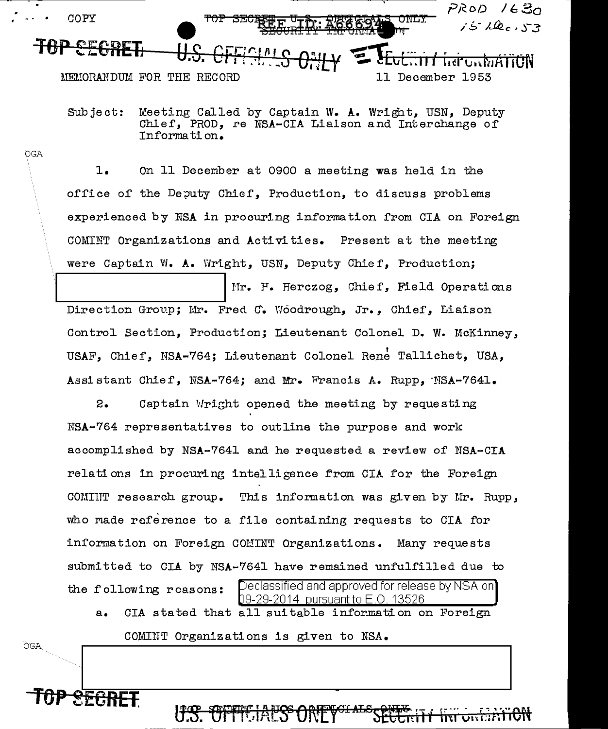

Subject: Meeting Called by Captain W. A. Wright, USN, Deputy Chief, PROD, re NSA-CIA Lialson and Interchange of Information.

OGA

**OGA** 

 $1.$ On 11 December at 0900 a meeting was held in the office of the Deputy Chief, Production, to discuss problems experienced by NSA in procuring information from CIA on Foreign COMINT Organizations and Activities. Present at the meeting were Captain W. A. Wright, USN, Deputy Chief, Production;

Mr. H. Herczog, Chief, Field Operations Direction Group; Mr. Fred C. Woodrough, Jr., Chief, Liaison Control Section, Production; Lieutenant Colonel D. W. McKinney, USAF, Chief, NSA-764; Lieutenant Colonel Rene Tallichet, USA, Assistant Chief, NSA-764; and Mr. Francis A. Rupp, NSA-7641.

2. Captain Wright opened the meeting by requesting NSA-764 representatives to outline the purpose and work accomplished by NSA-7641 and he requested a review of NSA-CIA relations in procuring intelligence from CIA for the Foreign COMIIT research group. This information was given by Mr. Rupp, who made reference to a file containing requests to CIA for information on Foreign COMINT Organizations. Many requests submitted to CIA by NSA-7641 have remained unfulfilled due to [Declassified and approved for release by NSA on] the following reasons: 09-29-2014 pursuant to E.O. 13526

CIA stated that all suitable information on Foreign  $a_{\bullet}$ COMINT Organizations is given to NSA.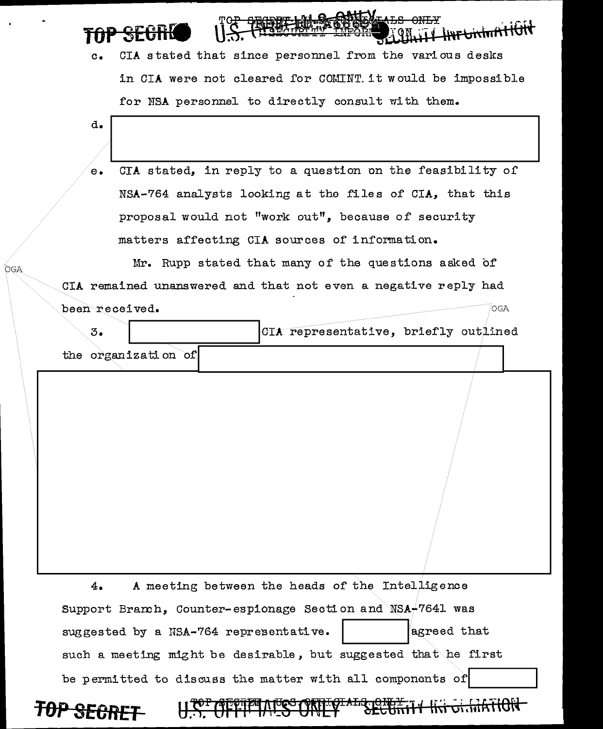| TAD OF OBLA<br><b>TUP SECTION</b> | TOP SECRET LAL & CONTENTAL SOMETY HAT UNITED STATES |
|-----------------------------------|-----------------------------------------------------|
|-----------------------------------|-----------------------------------------------------|

| c. CIA stated that since personnel from the various desks |
|-----------------------------------------------------------|
| in CIA were not cleared for COMINT it would be impossible |
| for NSA personnel to directly consult with them.          |

| $\mathbf{e}$ . |                     | CIA stated, in reply to a question on the feasibility of                                                      |
|----------------|---------------------|---------------------------------------------------------------------------------------------------------------|
|                |                     | NSA-764 analysts looking at the files of CIA, that this                                                       |
|                |                     | proposal would not "work out", because of security                                                            |
|                |                     | matters affecting CIA sources of information.                                                                 |
|                |                     | Mr. Rupp stated that many of the questions asked of                                                           |
|                |                     | CIA remained unanswered and that not even a negative reply had                                                |
| been received. |                     | OGA                                                                                                           |
| 3.             |                     | CIA representative, briefly outlined                                                                          |
|                | the organization of |                                                                                                               |
|                |                     |                                                                                                               |
|                |                     |                                                                                                               |
| 4.             |                     | A meeting between the heads of the Intelligence<br>Support Branch, Counter-espionage Section and NSA-7641 was |

U.S. CITTI MICS ONITOTALS OFFITTI KI GIHTIGN

| TOP SECRET |  |
|------------|--|
|------------|--|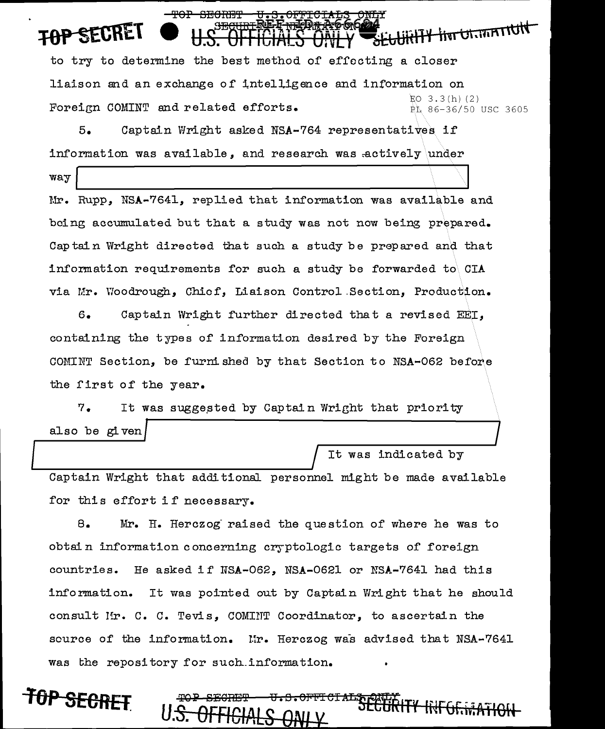**se**<br>SEGURTY fivr Utamminut to try to determine the best method of effecting a closer liaison and an exchange of intelligence and information on  $EO$  3.3(h)(2) Foreign COMINT and related efforts. PL 86-36/50 use 3605

5. Captain Wright asked NSA-764 representatives if information was available, and research was actively under

 $-\text{map}$ 

<del>SECRET</del>

way Mr. Rupp, NSA-7641, replied that information was available and being accumulated but that a study was not now being prepared. Captain Wright directed that such a study be prepared and that information requirements for such a study be forwarded to  $CIA$ via Mr. Woodrough, Chief, Liaison Control Section, Production.

6. Captain Wright f'urther directed that a revised EEJ, containing the types of information desired by the Foreign COMINT Section, be furni shea by that Section to NSA-062 before the first of the year.

7. It was sugge,sted by Captain Wright that priority also be given also be given<br>
It was indicated by

It was indicated by

<del>litFGF.i.a</del>

Captain Wright that additional personnel might be made available for this effort if necessary.

8. Mr. H. Herczog· raised the question of where he was to obtain information concerning cryptologic targets of' foreign countries. He asked if  $NSA-062$ ,  $NSA-0621$  or  $NSA-7641$  had this information. It was pointed out by Captain Wright that he should consult !'!r. c. c. Tevis, COMI:tTT Coordinator, to ascertain the source of the information. In. Herczog was advised that NSA-7641 was the repository for such information.

በ<del>P SECRE</del>